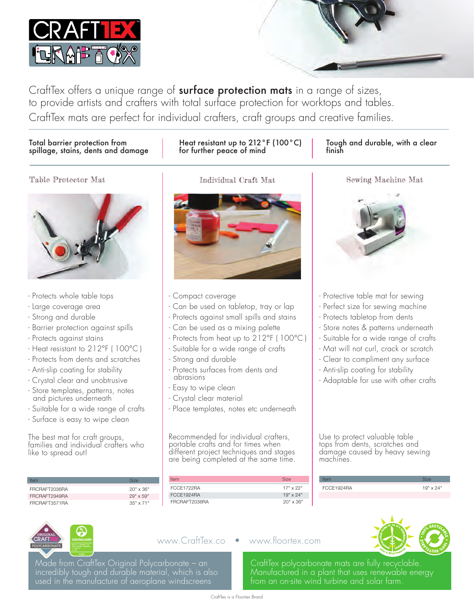

CraftTex offers a unique range of surface protection mats in a range of sizes, to provide artists and crafters with total surface protection for worktops and tables. CraftTex mats are perfect for individual crafters, craft groups and creative families.

#### Total barrier protection from spillage, stains, dents and damage

## Heat resistant up to 212°F (100°C) for further peace of mind

#### Tough and durable, with a clear finish





- Protects whole table tops
- Large coverage area
- Strong and durable
- Barrier protection against spills
- Protects against stains
- Heat resistant to 212°F ( 100°C )
- Protects from dents and scratches
- Anti-slip coating for stability
- Crystal clear and unobtrusive
- Store templates, patterns, notes and pictures underneath
- Suitable for a wide range of crafts
- Surface is easy to wipe clean

The best mat for craft groups, families and individual crafters who like to spread out!

| Item          | Size             | <b>Item</b>   |
|---------------|------------------|---------------|
| FRCRAFT2036RA | $20" \times 36"$ | FCCF1722RA    |
| FRCRAFT2949RA | $29" \times 59"$ | FCCF1924RA    |
| FRCRAFT3571RA | $35" \times 71"$ | FRCRAFT2036RA |



- Compact coverage
- Can be used on tabletop, tray or lap
- Protects against small spills and stains
- Can be used as a mixing palette
- Protects from heat up to 212°F ( 100°C )
- Suitable for a wide range of crafts
- Strong and durable
- Protects surfaces from dents and abrasions
- Easy to wipe clean
- Crystal clear material
- Place templates, notes etc underneath

Recommended for individual crafters, portable crafts and for times when different project techniques and stages are being completed at the same time.

| Item          | <b>Size</b>      |
|---------------|------------------|
| FCCE1722RA    | $17" \times 22"$ |
| FCCF1924RA    | $19" \times 24"$ |
| FRCRAFT2036RA | $20" \times 36"$ |



- Protective table mat for sewing
- Perfect size for sewing machine
- Protects tabletop from dents
- Store notes & patterns underneath
- Suitable for a wide range of crafts
- Mat will not curl, crack or scratch
- Clear to compliment any surface
- Anti-slip coating for stability
- Adaptable for use with other crafts

Use to protect valuable table tops from dents, scratches and damage caused by heavy sewing machines.

| ECCE1Q2ABI | $10"$ v $24"$ |
|------------|---------------|
|            |               |



Made from CraftTex Original Polycarbonate – an incredibly tough and durable material, which is also used in the manufacture of aeroplane windscreens

#### www.CraftTex.co • www.floortex.com



CraftTex polycarbonate mats are fully recyclable. Manufactured in a plant that uses renewable energy from an on-site wind turbine and solar farm.

Table Protector Mat Individual Craft Mat Sewing Machine Mat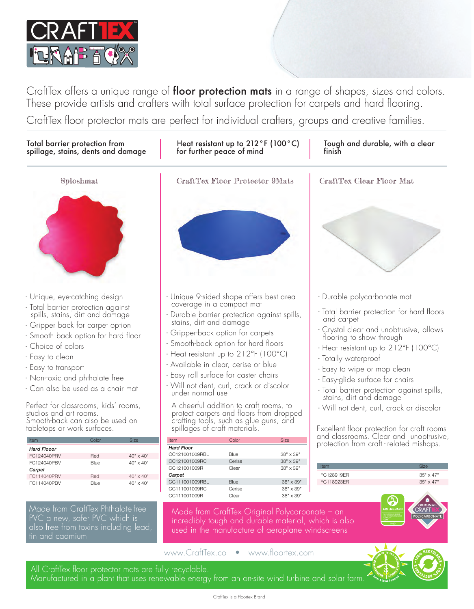

CraftTex offers a unique range of floor protection mats in a range of shapes, sizes and colors. These provide artists and crafters with total surface protection for carpets and hard flooring.

CraftTex floor protector mats are perfect for individual crafters, groups and creative families.



All CraftTex floor protector mats are fully recyclable.

Manufactured in a plant that uses renewable energy from an on-site wind turbine and solar farm.

• 10g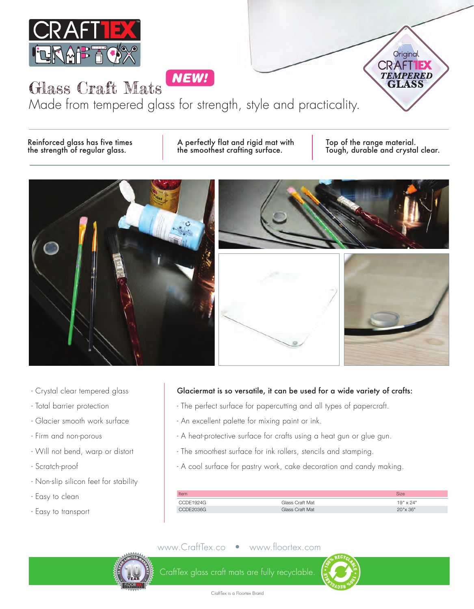

NEW!

Glass Craft Mats Made from tempered glass for strength, style and practicality.

Reinforced glass has five times A perfectly flat and rigid mat with Top of the range material.<br>
Top of the range material.<br>
Tough, durable and crysta

Tough, durable and crystal clear.

Original

**TEMPERED** CLASS

**CRAFT** 



- Crystal clear tempered glass
- Total barrier protection
- Glacier smooth work surface
- Firm and non-porous
- Will not bend, warp or distort
- Scratch-proof
- Non-slip silicon feet for stability
- Easy to clean
- Easy to transport

#### Glaciermat is so versatile, it can be used for a wide variety of crafts:

- The perfect surface for papercutting and all types of papercraft.
- An excellent palette for mixing paint or ink.
- A heat-protective surface for crafts using a heat gun or glue gun.
- The smoothest surface for ink rollers, stencils and stamping.
- A cool surface for pastry work, cake decoration and candy making.

| <b>Item</b> |                 | <b>Size</b>      |
|-------------|-----------------|------------------|
| CCDE1924G   | Glass Craft Mat | $19" \times 24"$ |
|             | Glass Craft Mat | $20" \times 36"$ |

### www.CraftTex.co • www.floortex.com



CHER LAB

CraftTex glass craft mats are fully recyclable